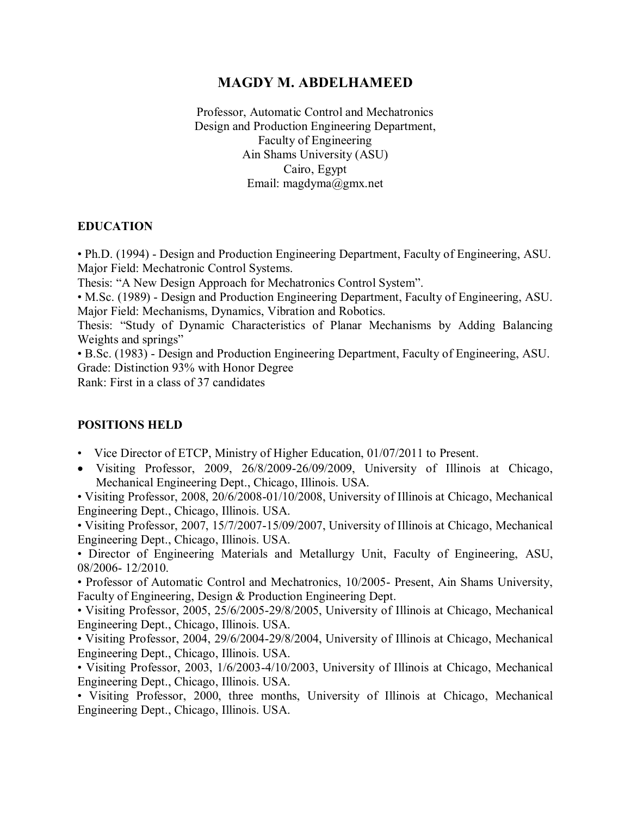# **MAGDY M. ABDELHAMEED**

Professor, Automatic Control and Mechatronics Design and Production Engineering Department, Faculty of Engineering Ain Shams University (ASU) Cairo, Egypt Email: magdyma@gmx.net

## **EDUCATION**

• Ph.D. (1994) - Design and Production Engineering Department, Faculty of Engineering, ASU. Major Field: Mechatronic Control Systems.

Thesis: "A New Design Approach for Mechatronics Control System".

• M.Sc. (1989) - Design and Production Engineering Department, Faculty of Engineering, ASU. Major Field: Mechanisms, Dynamics, Vibration and Robotics.

Thesis: "Study of Dynamic Characteristics of Planar Mechanisms by Adding Balancing Weights and springs"

• B.Sc. (1983) - Design and Production Engineering Department, Faculty of Engineering, ASU. Grade: Distinction 93% with Honor Degree

Rank: First in a class of 37 candidates

### **POSITIONS HELD**

- Vice Director of ETCP, Ministry of Higher Education, 01/07/2011 to Present.
- Visiting Professor, 2009, 26/8/2009-26/09/2009, University of Illinois at Chicago, Mechanical Engineering Dept., Chicago, Illinois. USA.

• Visiting Professor, 2008, 20/6/2008-01/10/2008, University of Illinois at Chicago, Mechanical Engineering Dept., Chicago, Illinois. USA.

• Visiting Professor, 2007, 15/7/2007-15/09/2007, University of Illinois at Chicago, Mechanical Engineering Dept., Chicago, Illinois. USA.

• Director of Engineering Materials and Metallurgy Unit, Faculty of Engineering, ASU, 08/2006- 12/2010.

• Professor of Automatic Control and Mechatronics, 10/2005- Present, Ain Shams University, Faculty of Engineering, Design & Production Engineering Dept.

• Visiting Professor, 2005, 25/6/2005-29/8/2005, University of Illinois at Chicago, Mechanical Engineering Dept., Chicago, Illinois. USA.

• Visiting Professor, 2004, 29/6/2004-29/8/2004, University of Illinois at Chicago, Mechanical Engineering Dept., Chicago, Illinois. USA.

• Visiting Professor, 2003, 1/6/2003-4/10/2003, University of Illinois at Chicago, Mechanical Engineering Dept., Chicago, Illinois. USA.

• Visiting Professor, 2000, three months, University of Illinois at Chicago, Mechanical Engineering Dept., Chicago, Illinois. USA.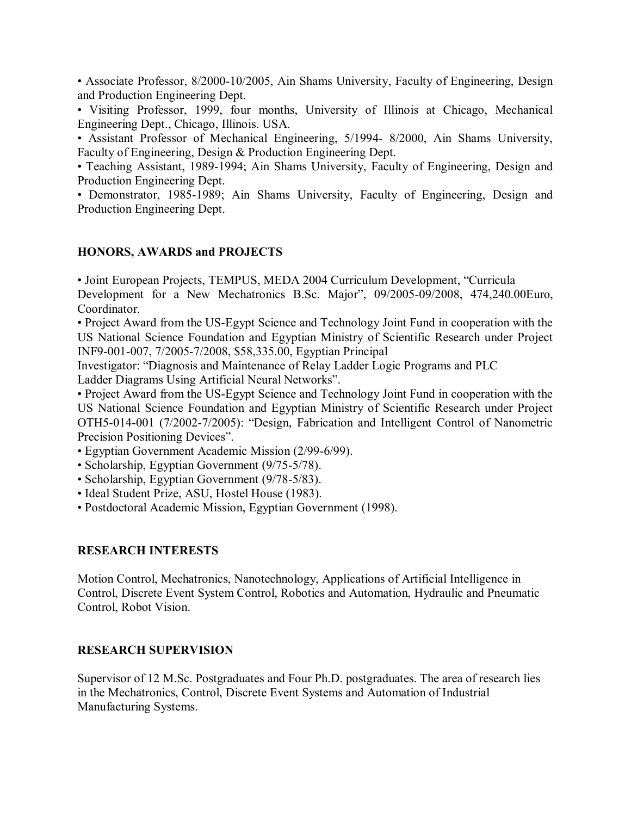• Associate Professor, 8/2000-10/2005, Ain Shams University, Faculty of Engineering, Design and Production Engineering Dept.

• Visiting Professor, 1999, four months, University of Illinois at Chicago, Mechanical Engineering Dept., Chicago, Illinois. USA.

• Assistant Professor of Mechanical Engineering, 5/1994- 8/2000, Ain Shams University, Faculty of Engineering, Design & Production Engineering Dept.

• Teaching Assistant, 1989-1994; Ain Shams University, Faculty of Engineering, Design and Production Engineering Dept.

• Demonstrator, 1985-1989; Ain Shams University, Faculty of Engineering, Design and Production Engineering Dept.

## **HONORS, AWARDS and PROJECTS**

• Joint European Projects, TEMPUS, MEDA 2004 Curriculum Development, "Curricula Development for a New Mechatronics B.Sc. Major", 09/2005-09/2008, 474,240.00Euro, Coordinator.

• Project Award from the US-Egypt Science and Technology Joint Fund in cooperation with the US National Science Foundation and Egyptian Ministry of Scientific Research under Project INF9-001-007, 7/2005-7/2008, \$58,335.00, Egyptian Principal

Investigator: "Diagnosis and Maintenance of Relay Ladder Logic Programs and PLC Ladder Diagrams Using Artificial Neural Networks".

• Project Award from the US-Egypt Science and Technology Joint Fund in cooperation with the US National Science Foundation and Egyptian Ministry of Scientific Research under Project OTH5-014-001 (7/2002-7/2005): "Design, Fabrication and Intelligent Control of Nanometric Precision Positioning Devices".

- Egyptian Government Academic Mission (2/99-6/99).
- Scholarship, Egyptian Government (9/75-5/78).
- Scholarship, Egyptian Government (9/78-5/83).
- Ideal Student Prize, ASU, Hostel House (1983).
- Postdoctoral Academic Mission, Egyptian Government (1998).

### **RESEARCH INTERESTS**

Motion Control, Mechatronics, Nanotechnology, Applications of Artificial Intelligence in Control, Discrete Event System Control, Robotics and Automation, Hydraulic and Pneumatic Control, Robot Vision.

### **RESEARCH SUPERVISION**

Supervisor of 12 M.Sc. Postgraduates and Four Ph.D. postgraduates. The area of research lies in the Mechatronics, Control, Discrete Event Systems and Automation of Industrial Manufacturing Systems.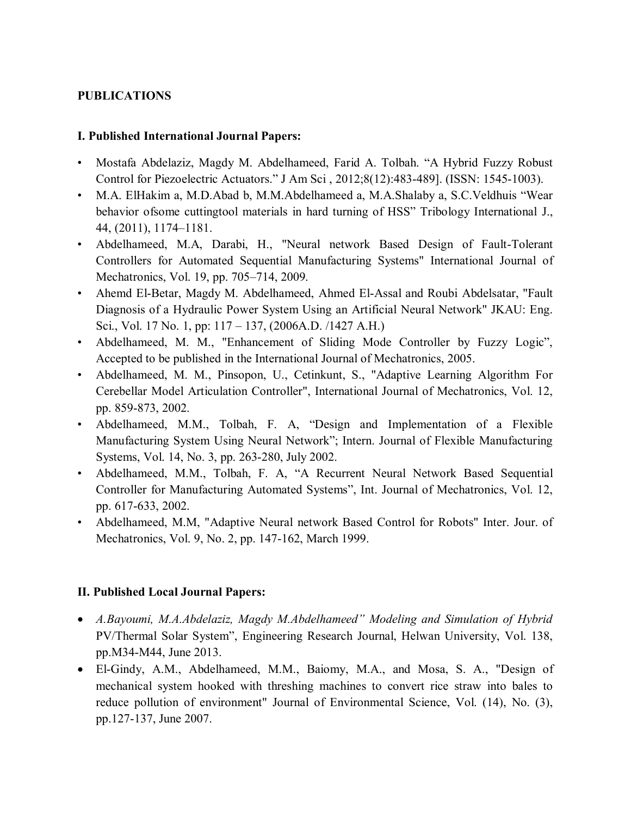## **PUBLICATIONS**

### **I. Published International Journal Papers:**

- Mostafa Abdelaziz, Magdy M. Abdelhameed, Farid A. Tolbah. "A Hybrid Fuzzy Robust Control for Piezoelectric Actuators." J Am Sci , 2012;8(12):483-489]. (ISSN: 1545-1003).
- M.A. ElHakim a, M.D.Abad b, M.M.Abdelhameed a, M.A.Shalaby a, S.C.Veldhuis "Wear behavior ofsome cuttingtool materials in hard turning of HSS" Tribology International J., 44, (2011), 1174–1181.
- Abdelhameed, M.A, Darabi, H., "Neural network Based Design of Fault-Tolerant Controllers for Automated Sequential Manufacturing Systems" International Journal of Mechatronics, Vol. 19, pp. 705–714, 2009.
- Ahemd El-Betar, Magdy M. Abdelhameed, Ahmed El-Assal and Roubi Abdelsatar, "Fault Diagnosis of a Hydraulic Power System Using an Artificial Neural Network" JKAU: Eng. Sci., Vol. 17 No. 1, pp: 117 – 137, (2006A.D. /1427 A.H.)
- Abdelhameed, M. M., "Enhancement of Sliding Mode Controller by Fuzzy Logic", Accepted to be published in the International Journal of Mechatronics, 2005.
- Abdelhameed, M. M., Pinsopon, U., Cetinkunt, S., "Adaptive Learning Algorithm For Cerebellar Model Articulation Controller", International Journal of Mechatronics, Vol. 12, pp. 859-873, 2002.
- Abdelhameed, M.M., Tolbah, F. A, "Design and Implementation of a Flexible Manufacturing System Using Neural Network"; Intern. Journal of Flexible Manufacturing Systems, Vol. 14, No. 3, pp. 263-280, July 2002.
- Abdelhameed, M.M., Tolbah, F. A, "A Recurrent Neural Network Based Sequential Controller for Manufacturing Automated Systems", Int. Journal of Mechatronics, Vol. 12, pp. 617-633, 2002.
- Abdelhameed, M.M, "Adaptive Neural network Based Control for Robots" Inter. Jour. of Mechatronics, Vol. 9, No. 2, pp. 147-162, March 1999.

## **II. Published Local Journal Papers:**

- *A.Bayoumi, M.A.Abdelaziz, Magdy M.Abdelhameed" Modeling and Simulation of Hybrid* PV/Thermal Solar System", Engineering Research Journal, Helwan University, Vol. 138, pp.M34-M44, June 2013.
- El-Gindy, A.M., Abdelhameed, M.M., Baiomy, M.A., and Mosa, S. A., "Design of mechanical system hooked with threshing machines to convert rice straw into bales to reduce pollution of environment" Journal of Environmental Science, Vol. (14), No. (3), pp.127-137, June 2007.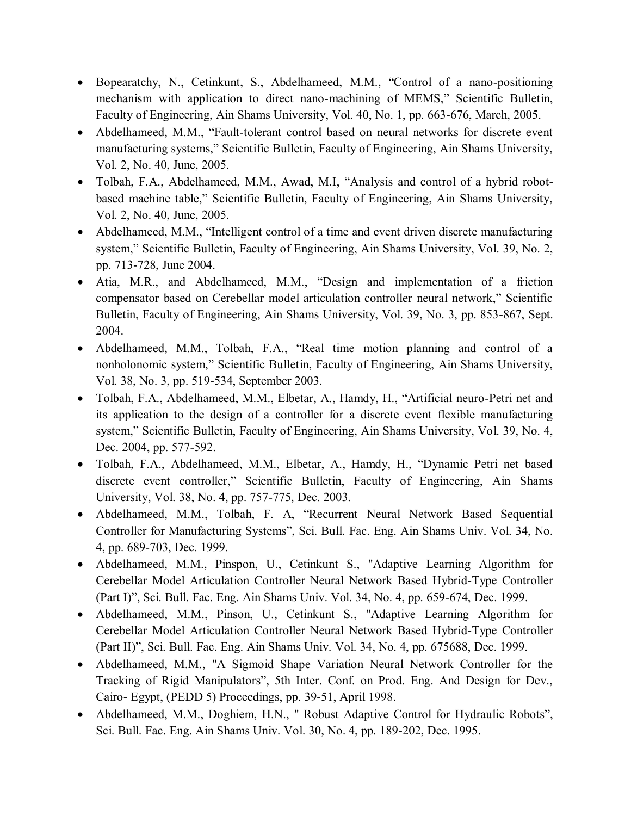- Bopearatchy, N., Cetinkunt, S., Abdelhameed, M.M., "Control of a nano-positioning mechanism with application to direct nano-machining of MEMS," Scientific Bulletin, Faculty of Engineering, Ain Shams University, Vol. 40, No. 1, pp. 663-676, March, 2005.
- Abdelhameed, M.M., "Fault-tolerant control based on neural networks for discrete event manufacturing systems," Scientific Bulletin, Faculty of Engineering, Ain Shams University, Vol. 2, No. 40, June, 2005.
- Tolbah, F.A., Abdelhameed, M.M., Awad, M.I, "Analysis and control of a hybrid robotbased machine table," Scientific Bulletin, Faculty of Engineering, Ain Shams University, Vol. 2, No. 40, June, 2005.
- Abdelhameed, M.M., "Intelligent control of a time and event driven discrete manufacturing system," Scientific Bulletin, Faculty of Engineering, Ain Shams University, Vol. 39, No. 2, pp. 713-728, June 2004.
- Atia, M.R., and Abdelhameed, M.M., "Design and implementation of a friction compensator based on Cerebellar model articulation controller neural network," Scientific Bulletin, Faculty of Engineering, Ain Shams University, Vol. 39, No. 3, pp. 853-867, Sept. 2004.
- Abdelhameed, M.M., Tolbah, F.A., "Real time motion planning and control of a nonholonomic system," Scientific Bulletin, Faculty of Engineering, Ain Shams University, Vol. 38, No. 3, pp. 519-534, September 2003.
- Tolbah, F.A., Abdelhameed, M.M., Elbetar, A., Hamdy, H., "Artificial neuro-Petri net and its application to the design of a controller for a discrete event flexible manufacturing system," Scientific Bulletin, Faculty of Engineering, Ain Shams University, Vol. 39, No. 4, Dec. 2004, pp. 577-592.
- Tolbah, F.A., Abdelhameed, M.M., Elbetar, A., Hamdy, H., "Dynamic Petri net based discrete event controller," Scientific Bulletin, Faculty of Engineering, Ain Shams University, Vol. 38, No. 4, pp. 757-775, Dec. 2003.
- Abdelhameed, M.M., Tolbah, F. A, "Recurrent Neural Network Based Sequential Controller for Manufacturing Systems", Sci. Bull. Fac. Eng. Ain Shams Univ. Vol. 34, No. 4, pp. 689-703, Dec. 1999.
- Abdelhameed, M.M., Pinspon, U., Cetinkunt S., "Adaptive Learning Algorithm for Cerebellar Model Articulation Controller Neural Network Based Hybrid-Type Controller (Part I)", Sci. Bull. Fac. Eng. Ain Shams Univ. Vol. 34, No. 4, pp. 659-674, Dec. 1999.
- Abdelhameed, M.M., Pinson, U., Cetinkunt S., "Adaptive Learning Algorithm for Cerebellar Model Articulation Controller Neural Network Based Hybrid-Type Controller (Part II)", Sci. Bull. Fac. Eng. Ain Shams Univ. Vol. 34, No. 4, pp. 675688, Dec. 1999.
- Abdelhameed, M.M., "A Sigmoid Shape Variation Neural Network Controller for the Tracking of Rigid Manipulators", 5th Inter. Conf. on Prod. Eng. And Design for Dev., Cairo- Egypt, (PEDD 5) Proceedings, pp. 39-51, April 1998.
- Abdelhameed, M.M., Doghiem, H.N., " Robust Adaptive Control for Hydraulic Robots", Sci. Bull. Fac. Eng. Ain Shams Univ. Vol. 30, No. 4, pp. 189-202, Dec. 1995.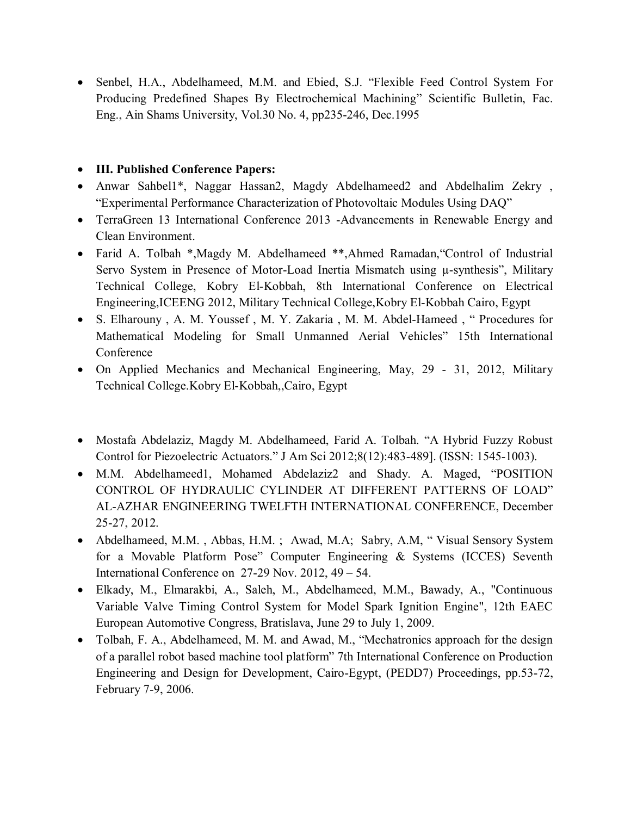Senbel, H.A., Abdelhameed, M.M. and Ebied, S.J. "Flexible Feed Control System For Producing Predefined Shapes By Electrochemical Machining" Scientific Bulletin, Fac. Eng., Ain Shams University, Vol.30 No. 4, pp235-246, Dec.1995

## **III. Published Conference Papers:**

- Anwar Sahbel1\*, Naggar Hassan2, Magdy Abdelhameed2 and Abdelhalim Zekry , "Experimental Performance Characterization of Photovoltaic Modules Using DAQ"
- TerraGreen 13 International Conference 2013 -Advancements in Renewable Energy and Clean Environment.
- Farid A. Tolbah \*, Magdy M. Abdelhameed \*\*, Ahmed Ramadan, "Control of Industrial Servo System in Presence of Motor-Load Inertia Mismatch using µ-synthesis", Military Technical College, Kobry El-Kobbah, 8th International Conference on Electrical Engineering,ICEENG 2012, Military Technical College,Kobry El-Kobbah Cairo, Egypt
- S. Elharouny , A. M. Youssef , M. Y. Zakaria , M. M. Abdel-Hameed , " Procedures for Mathematical Modeling for Small Unmanned Aerial Vehicles" 15th International Conference
- On Applied Mechanics and Mechanical Engineering, May, 29 31, 2012, Military Technical College.Kobry El-Kobbah,,Cairo, Egypt
- Mostafa Abdelaziz, Magdy M. Abdelhameed, Farid A. Tolbah. "A Hybrid Fuzzy Robust Control for Piezoelectric Actuators." J Am Sci 2012;8(12):483-489]. (ISSN: 1545-1003).
- M.M. Abdelhameed1, Mohamed Abdelaziz2 and Shady. A. Maged, "POSITION CONTROL OF HYDRAULIC CYLINDER AT DIFFERENT PATTERNS OF LOAD" AL-AZHAR ENGINEERING TWELFTH INTERNATIONAL CONFERENCE, December 25-27, 2012.
- Abdelhameed, M.M., Abbas, H.M.; Awad, M.A; Sabry, A.M. "Visual Sensory System for a Movable Platform Pose" Computer Engineering & Systems (ICCES) Seventh International Conference on 27-29 Nov. 2012, 49 – 54.
- Elkady, M., Elmarakbi, A., Saleh, M., Abdelhameed, M.M., Bawady, A., "Continuous Variable Valve Timing Control System for Model Spark Ignition Engine", 12th EAEC European Automotive Congress, Bratislava, June 29 to July 1, 2009.
- Tolbah, F. A., Abdelhameed, M. M. and Awad, M., "Mechatronics approach for the design of a parallel robot based machine tool platform" 7th International Conference on Production Engineering and Design for Development, Cairo-Egypt, (PEDD7) Proceedings, pp.53-72, February 7-9, 2006.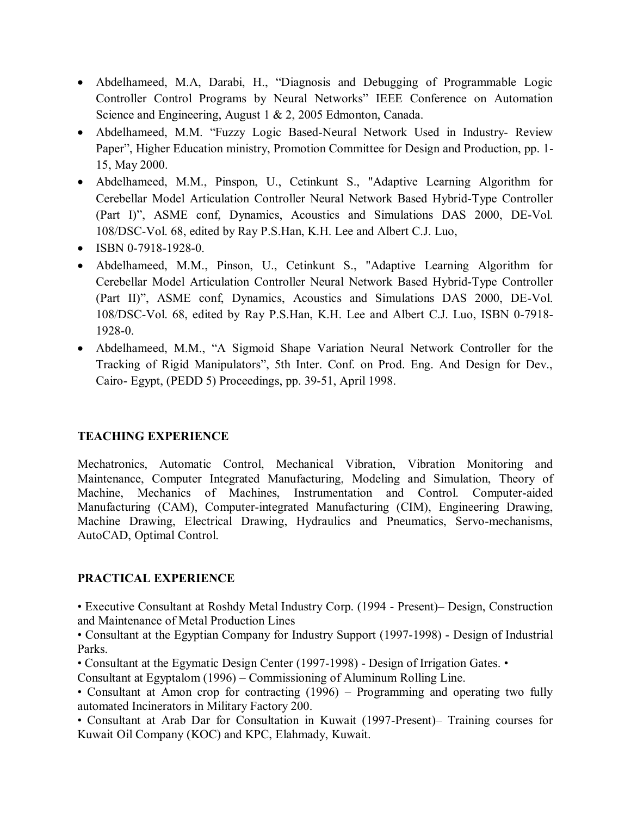- Abdelhameed, M.A, Darabi, H., "Diagnosis and Debugging of Programmable Logic Controller Control Programs by Neural Networks" IEEE Conference on Automation Science and Engineering, August 1 & 2, 2005 Edmonton, Canada.
- Abdelhameed, M.M. "Fuzzy Logic Based-Neural Network Used in Industry- Review Paper", Higher Education ministry, Promotion Committee for Design and Production, pp. 1- 15, May 2000.
- Abdelhameed, M.M., Pinspon, U., Cetinkunt S., "Adaptive Learning Algorithm for Cerebellar Model Articulation Controller Neural Network Based Hybrid-Type Controller (Part I)", ASME conf, Dynamics, Acoustics and Simulations DAS 2000, DE-Vol. 108/DSC-Vol. 68, edited by Ray P.S.Han, K.H. Lee and Albert C.J. Luo,
- $\bullet$  ISBN 0-7918-1928-0.
- Abdelhameed, M.M., Pinson, U., Cetinkunt S., "Adaptive Learning Algorithm for Cerebellar Model Articulation Controller Neural Network Based Hybrid-Type Controller (Part II)", ASME conf, Dynamics, Acoustics and Simulations DAS 2000, DE-Vol. 108/DSC-Vol. 68, edited by Ray P.S.Han, K.H. Lee and Albert C.J. Luo, ISBN 0-7918- 1928-0.
- Abdelhameed, M.M., "A Sigmoid Shape Variation Neural Network Controller for the Tracking of Rigid Manipulators", 5th Inter. Conf. on Prod. Eng. And Design for Dev., Cairo- Egypt, (PEDD 5) Proceedings, pp. 39-51, April 1998.

# **TEACHING EXPERIENCE**

Mechatronics, Automatic Control, Mechanical Vibration, Vibration Monitoring and Maintenance, Computer Integrated Manufacturing, Modeling and Simulation, Theory of Machine, Mechanics of Machines, Instrumentation and Control. Computer-aided Manufacturing (CAM), Computer-integrated Manufacturing (CIM), Engineering Drawing, Machine Drawing, Electrical Drawing, Hydraulics and Pneumatics, Servo-mechanisms, AutoCAD, Optimal Control.

# **PRACTICAL EXPERIENCE**

• Executive Consultant at Roshdy Metal Industry Corp. (1994 - Present)– Design, Construction and Maintenance of Metal Production Lines

• Consultant at the Egyptian Company for Industry Support (1997-1998) - Design of Industrial Parks.

• Consultant at the Egymatic Design Center (1997-1998) - Design of Irrigation Gates. •

Consultant at Egyptalom (1996) – Commissioning of Aluminum Rolling Line.

• Consultant at Amon crop for contracting (1996) – Programming and operating two fully automated Incinerators in Military Factory 200.

• Consultant at Arab Dar for Consultation in Kuwait (1997-Present)– Training courses for Kuwait Oil Company (KOC) and KPC, Elahmady, Kuwait.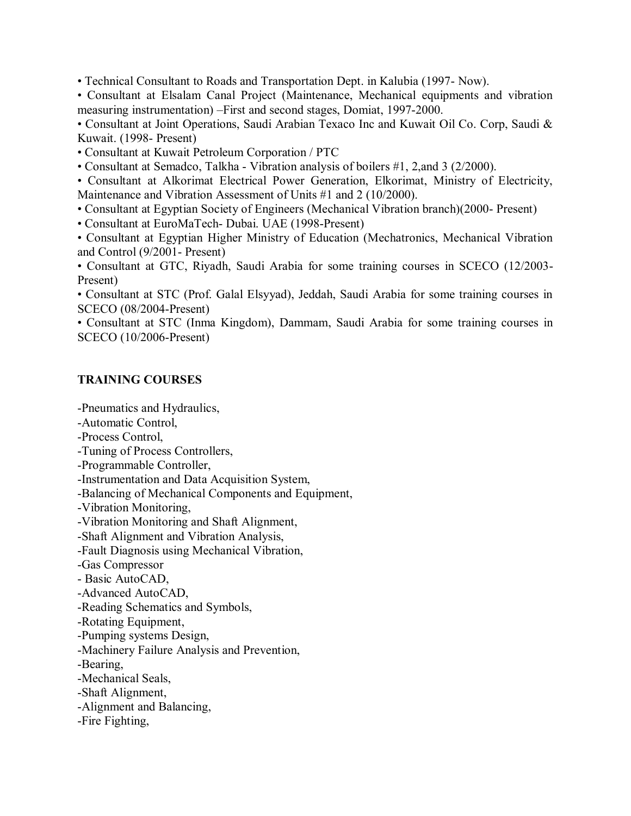• Technical Consultant to Roads and Transportation Dept. in Kalubia (1997- Now).

• Consultant at Elsalam Canal Project (Maintenance, Mechanical equipments and vibration measuring instrumentation) –First and second stages, Domiat, 1997-2000.

• Consultant at Joint Operations, Saudi Arabian Texaco Inc and Kuwait Oil Co. Corp, Saudi & Kuwait. (1998- Present)

• Consultant at Kuwait Petroleum Corporation / PTC

• Consultant at Semadco, Talkha - Vibration analysis of boilers #1, 2,and 3 (2/2000).

• Consultant at Alkorimat Electrical Power Generation, Elkorimat, Ministry of Electricity, Maintenance and Vibration Assessment of Units #1 and 2 (10/2000).

• Consultant at Egyptian Society of Engineers (Mechanical Vibration branch)(2000- Present)

• Consultant at EuroMaTech- Dubai. UAE (1998-Present)

• Consultant at Egyptian Higher Ministry of Education (Mechatronics, Mechanical Vibration and Control (9/2001- Present)

• Consultant at GTC, Riyadh, Saudi Arabia for some training courses in SCECO (12/2003- Present)

• Consultant at STC (Prof. Galal Elsyyad), Jeddah, Saudi Arabia for some training courses in SCECO (08/2004-Present)

• Consultant at STC (Inma Kingdom), Dammam, Saudi Arabia for some training courses in SCECO (10/2006-Present)

### **TRAINING COURSES**

-Pneumatics and Hydraulics,

-Automatic Control,

-Process Control,

-Tuning of Process Controllers,

-Programmable Controller,

-Instrumentation and Data Acquisition System,

-Balancing of Mechanical Components and Equipment,

-Vibration Monitoring,

-Vibration Monitoring and Shaft Alignment,

-Shaft Alignment and Vibration Analysis,

-Fault Diagnosis using Mechanical Vibration,

-Gas Compressor

- Basic AutoCAD,

-Advanced AutoCAD,

-Reading Schematics and Symbols,

-Rotating Equipment,

-Pumping systems Design,

-Machinery Failure Analysis and Prevention,

-Bearing,

-Mechanical Seals,

-Shaft Alignment,

-Alignment and Balancing,

-Fire Fighting,